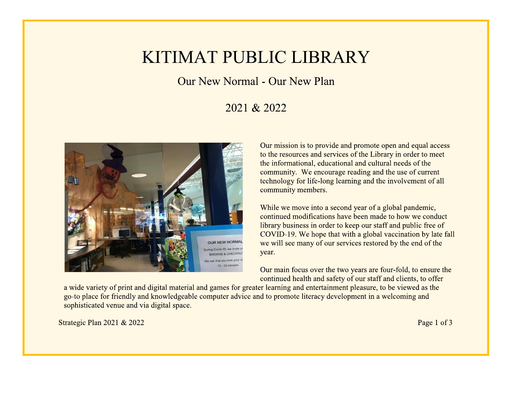## **KITIMAT PUBLIC LIBRARY**

Our New Normal - Our New Plan

## 2021 & 2022



Our mission is to provide and promote open and equal access to the resources and services of the Library in order to meet the informational, educational and cultural needs of the community. We encourage reading and the use of current technology for life-long learning and the involvement of all community members.

While we move into a second year of a global pandemic, continued modifications have been made to how we conduct library business in order to keep our staff and public free of COVID-19. We hope that with a global vaccination by late fall we will see many of our services restored by the end of the year.

Our main focus over the two years are four-fold, to ensure the continued health and safety of our staff and clients, to offer

a wide variety of print and digital material and games for greater learning and entertainment pleasure, to be viewed as the go-to place for friendly and knowledgeable computer advice and to promote literacy development in a welcoming and sophisticated venue and via digital space.

Strategic Plan 2021 & 2022

Page 1 of 3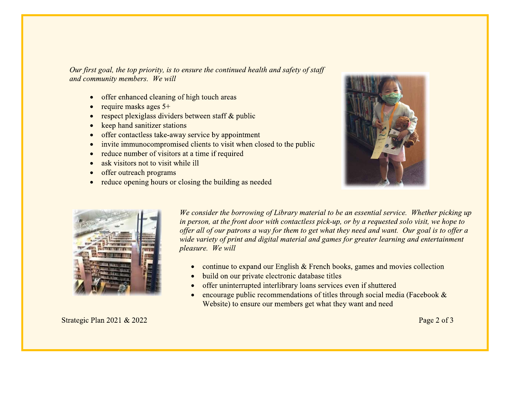Our first goal, the top priority, is to ensure the continued health and safety of staff and community members. We will

- offer enhanced cleaning of high touch areas  $\bullet$
- require masks ages  $5+$
- respect plexiglass dividers between staff & public
- keep hand sanitizer stations  $\bullet$
- offer contactless take-away service by appointment
- invite immunocompromised clients to visit when closed to the public
- reduce number of visitors at a time if required
- ask visitors not to visit while ill
- offer outreach programs
- reduce opening hours or closing the building as needed





We consider the borrowing of Library material to be an essential service. Whether picking up in person, at the front door with contactless pick-up, or by a requested solo visit, we hope to offer all of our patrons a way for them to get what they need and want. Our goal is to offer a wide variety of print and digital material and games for greater learning and entertainment pleasure. We will

- continue to expand our English  $&$  French books, games and movies collection
- build on our private electronic database titles
- offer uninterrupted interlibrary loans services even if shuttered
- encourage public recommendations of titles through social media (Facebook & Website) to ensure our members get what they want and need

Strategic Plan 2021 & 2022

Page 2 of 3